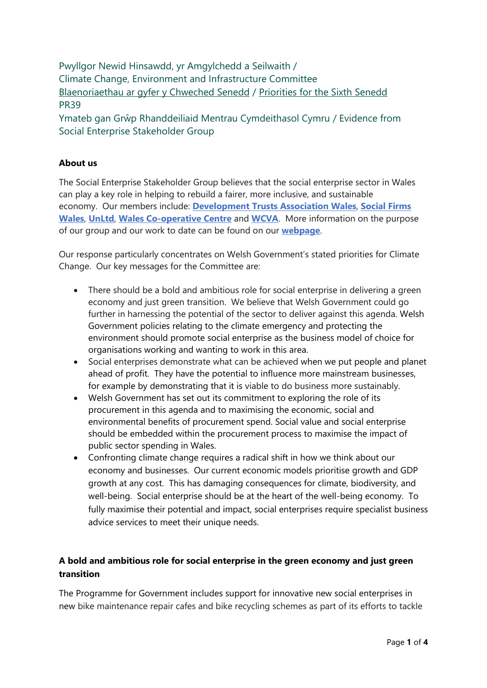Pwyllgor Newid Hinsawdd, yr Amgylchedd a Seilwaith / Climate Change, Environment and Infrastructure Committee [Blaenoriaethau ar gyfer y Chweched Senedd](https://busnes.senedd.cymru/mgConsultationDisplay.aspx?id=427&RPID=1026452002&cp=yes) / Priorities [for the Sixth Senedd](https://business.senedd.wales/mgConsultationDisplay.aspx?id=427&RPID=1026452002&cp=yes) PR39

Ymateb gan Grŵp Rhanddeiliaid Mentrau Cymdeithasol Cymru / Evidence from Social Enterprise Stakeholder Group

## **About us**

The Social Enterprise Stakeholder Group believes that the social enterprise sector in Wales can play a key role in helping to rebuild a fairer, more inclusive, and sustainable economy. Our members include: **[Development Trusts Association Wales](https://dtawales.org.uk/)**, **[Social Firms](http://www.socialfirmswales.co.uk/)  [Wales](http://www.socialfirmswales.co.uk/)**, **[UnLtd](https://www.unltd.org.uk/)**, **[Wales Co-operative Centre](http://www.wales.coop/)** and **[WCVA](https://wcva.cymru/)**. More information on the purpose of our group and our work to date can be found on our **[webpage](https://wales.coop/get-involved/other-groups-committees-and-forums/sesg/)**.

Our response particularly concentrates on Welsh Government's stated priorities for Climate Change. Our key messages for the Committee are:

- There should be a bold and ambitious role for social enterprise in delivering a green economy and just green transition. We believe that Welsh Government could go further in harnessing the potential of the sector to deliver against this agenda. Welsh Government policies relating to the climate emergency and protecting the environment should promote social enterprise as the business model of choice for organisations working and wanting to work in this area.
- Social enterprises demonstrate what can be achieved when we put people and planet ahead of profit. They have the potential to influence more mainstream businesses, for example by demonstrating that it is viable to do business more sustainably.
- Welsh Government has set out its commitment to exploring the role of its procurement in this agenda and to maximising the economic, social and environmental benefits of procurement spend. Social value and social enterprise should be embedded within the procurement process to maximise the impact of public sector spending in Wales.
- Confronting climate change requires a radical shift in how we think about our economy and businesses. Our current economic models prioritise growth and GDP growth at any cost. This has damaging consequences for climate, biodiversity, and well-being. Social enterprise should be at the heart of the well-being economy. To fully maximise their potential and impact, social enterprises require specialist business advice services to meet their unique needs.

# **A bold and ambitious role for social enterprise in the green economy and just green transition**

The Programme for Government includes support for innovative new social enterprises in new bike maintenance repair cafes and bike recycling schemes as part of its efforts to tackle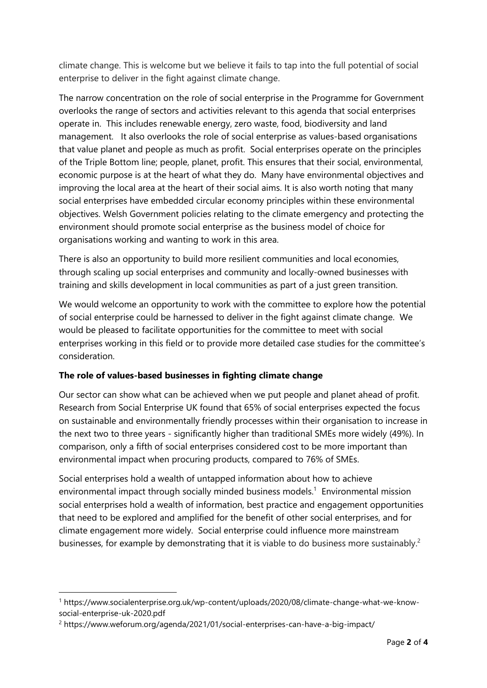climate change. This is welcome but we believe it fails to tap into the full potential of social enterprise to deliver in the fight against climate change.

The narrow concentration on the role of social enterprise in the Programme for Government overlooks the range of sectors and activities relevant to this agenda that social enterprises operate in. This includes renewable energy, zero waste, food, biodiversity and land management. It also overlooks the role of social enterprise as values-based organisations that value planet and people as much as profit. Social enterprises operate on the principles of the Triple Bottom line; people, planet, profit. This ensures that their social, environmental, economic purpose is at the heart of what they do. Many have environmental objectives and improving the local area at the heart of their social aims. It is also worth noting that many social enterprises have embedded circular economy principles within these environmental objectives. Welsh Government policies relating to the climate emergency and protecting the environment should promote social enterprise as the business model of choice for organisations working and wanting to work in this area.

There is also an opportunity to build more resilient communities and local economies, through scaling up social enterprises and community and locally-owned businesses with training and skills development in local communities as part of a just green transition.

We would welcome an opportunity to work with the committee to explore how the potential of social enterprise could be harnessed to deliver in the fight against climate change. We would be pleased to facilitate opportunities for the committee to meet with social enterprises working in this field or to provide more detailed case studies for the committee's consideration.

## **The role of values-based businesses in fighting climate change**

Our sector can show what can be achieved when we put people and planet ahead of profit. Research from Social Enterprise UK found that 65% of social enterprises expected the focus on sustainable and environmentally friendly processes within their organisation to increase in the next two to three years - significantly higher than traditional SMEs more widely (49%). In comparison, only a fifth of social enterprises considered cost to be more important than environmental impact when procuring products, compared to 76% of SMEs.

Social enterprises hold a wealth of untapped information about how to achieve environmental impact through socially minded business models.<sup>1</sup> Environmental mission social enterprises hold a wealth of information, best practice and engagement opportunities that need to be explored and amplified for the benefit of other social enterprises, and for climate engagement more widely. Social enterprise could influence more mainstream businesses, for example by demonstrating that it is viable to do business more sustainably.<sup>2</sup>

<sup>1</sup> https://www.socialenterprise.org.uk/wp-content/uploads/2020/08/climate-change-what-we-knowsocial-enterprise-uk-2020.pdf

<sup>2</sup> https://www.weforum.org/agenda/2021/01/social-enterprises-can-have-a-big-impact/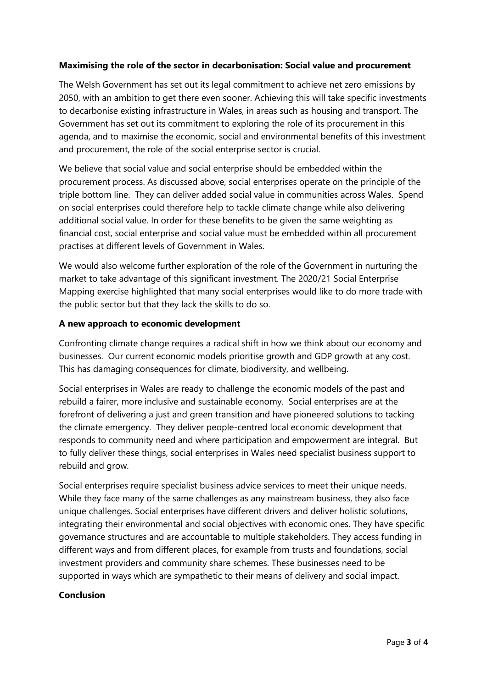### **Maximising the role of the sector in decarbonisation: Social value and procurement**

The Welsh Government has set out its legal commitment to achieve net zero emissions by 2050, with an ambition to get there even sooner. Achieving this will take specific investments to decarbonise existing infrastructure in Wales, in areas such as housing and transport. The Government has set out its commitment to exploring the role of its procurement in this agenda, and to maximise the economic, social and environmental benefits of this investment and procurement, the role of the social enterprise sector is crucial.

We believe that social value and social enterprise should be embedded within the procurement process. As discussed above, social enterprises operate on the principle of the triple bottom line. They can deliver added social value in communities across Wales. Spend on social enterprises could therefore help to tackle climate change while also delivering additional social value. In order for these benefits to be given the same weighting as financial cost, social enterprise and social value must be embedded within all procurement practises at different levels of Government in Wales.

We would also welcome further exploration of the role of the Government in nurturing the market to take advantage of this significant investment. The 2020/21 Social Enterprise Mapping exercise highlighted that many social enterprises would like to do more trade with the public sector but that they lack the skills to do so.

### **A new approach to economic development**

Confronting climate change requires a radical shift in how we think about our economy and businesses. Our current economic models prioritise growth and GDP growth at any cost. This has damaging consequences for climate, biodiversity, and wellbeing.

Social enterprises in Wales are ready to challenge the economic models of the past and rebuild a fairer, more inclusive and sustainable economy. Social enterprises are at the forefront of delivering a just and green transition and have pioneered solutions to tacking the climate emergency. They deliver people-centred local economic development that responds to community need and where participation and empowerment are integral. But to fully deliver these things, social enterprises in Wales need specialist business support to rebuild and grow.

Social enterprises require specialist business advice services to meet their unique needs. While they face many of the same challenges as any mainstream business, they also face unique challenges. Social enterprises have different drivers and deliver holistic solutions, integrating their environmental and social objectives with economic ones. They have specific governance structures and are accountable to multiple stakeholders. They access funding in different ways and from different places, for example from trusts and foundations, social investment providers and community share schemes. These businesses need to be supported in ways which are sympathetic to their means of delivery and social impact.

### **Conclusion**